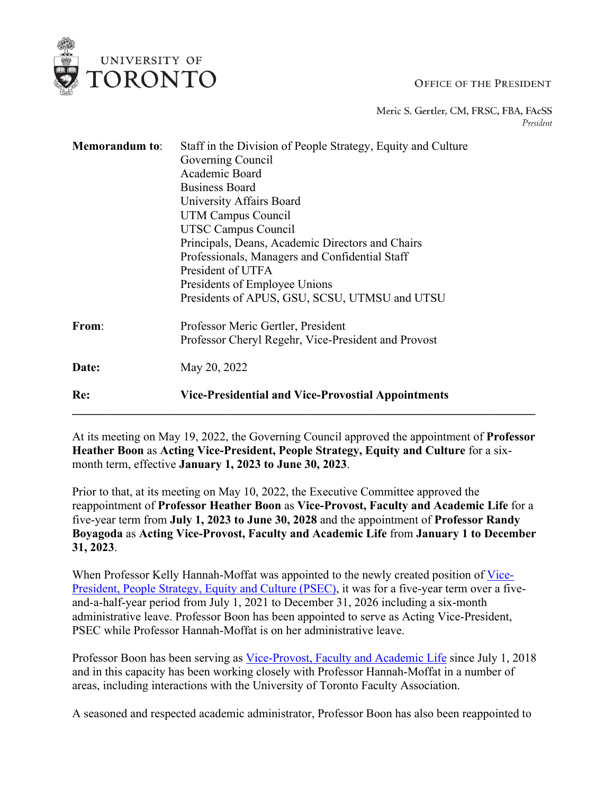## **OFFICE OF THE PRESIDENT**

Meric S. Gertler, CM, FRSC, FBA, FAcSS President

| <b>Memorandum</b> to: | Staff in the Division of People Strategy, Equity and Culture |
|-----------------------|--------------------------------------------------------------|
|                       | Governing Council                                            |
|                       | Academic Board                                               |
|                       | <b>Business Board</b>                                        |
|                       | University Affairs Board                                     |
|                       | <b>UTM Campus Council</b>                                    |
|                       | UTSC Campus Council                                          |
|                       | Principals, Deans, Academic Directors and Chairs             |
|                       | Professionals, Managers and Confidential Staff               |
|                       | President of UTFA                                            |
|                       | Presidents of Employee Unions                                |
|                       | Presidents of APUS, GSU, SCSU, UTMSU and UTSU                |
| From:                 | Professor Meric Gertler, President                           |
|                       | Professor Cheryl Regehr, Vice-President and Provost          |
| Date:                 | May 20, 2022                                                 |
| Re:                   | Vice-Presidential and Vice-Provostial Appointments           |
|                       |                                                              |

UNIVERSITY OF **TORONTO** 

At its meeting on May 19, 2022, the Governing Council approved the appointment of **Professor Heather Boon** as **Acting Vice-President, People Strategy, Equity and Culture** for a sixmonth term, effective **January 1, 2023 to June 30, 2023**.

Prior to that, at its meeting on May 10, 2022, the Executive Committee approved the reappointment of **Professor Heather Boon** as **Vice-Provost, Faculty and Academic Life** for a five-year term from **July 1, 2023 to June 30, 2028** and the appointment of **Professor Randy Boyagoda** as **Acting Vice-Provost, Faculty and Academic Life** from **January 1 to December 31, 2023**.

When Professor Kelly Hannah-Moffat was appointed to the newly created position of [Vice-](https://governingcouncil.utoronto.ca/system/files/2021-06/VP%20PSEC%20June%202021.pdf)[President, People Strategy, Equity and Culture \(PSEC\),](https://governingcouncil.utoronto.ca/system/files/2021-06/VP%20PSEC%20June%202021.pdf) it was for a five-year term over a fiveand-a-half-year period from July 1, 2021 to December 31, 2026 including a six-month administrative leave. Professor Boon has been appointed to serve as Acting Vice-President, PSEC while Professor Hannah-Moffat is on her administrative leave.

Professor Boon has been serving as [Vice-Provost, Faculty and Academic Life](https://memos.provost.utoronto.ca/vice-provostial-appointments-pdadc-38/) since July 1, 2018 and in this capacity has been working closely with Professor Hannah-Moffat in a number of areas, including interactions with the University of Toronto Faculty Association.

A seasoned and respected academic administrator, Professor Boon has also been reappointed to